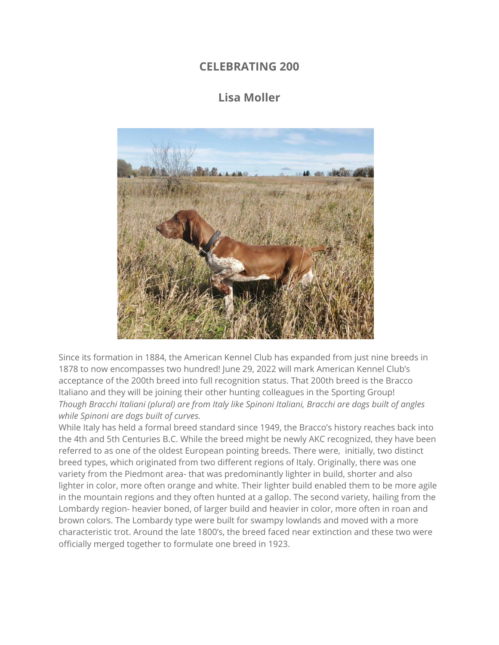## **CELEBRATING 200**

## **Lisa Moller**



Since its formation in 1884, the American Kennel Club has expanded from just nine breeds in 1878 to now encompasses two hundred! June 29, 2022 will mark American Kennel Club's acceptance of the 200th breed into full recognition status. That 200th breed is the Bracco Italiano and they will be joining their other hunting colleagues in the Sporting Group! *Though Bracchi Italiani (plural) are from Italy like Spinoni Italiani, Bracchi are dogs built of angles while Spinoni are dogs built of curves.*

While Italy has held a formal breed standard since 1949, the Bracco's history reaches back into the 4th and 5th Centuries B.C. While the breed might be newly AKC recognized, they have been referred to as one of the oldest European pointing breeds. There were, initially, two distinct breed types, which originated from two different regions of Italy. Originally, there was one variety from the Piedmont area- that was predominantly lighter in build, shorter and also lighter in color, more often orange and white. Their lighter build enabled them to be more agile in the mountain regions and they often hunted at a gallop. The second variety, hailing from the Lombardy region- heavier boned, of larger build and heavier in color, more often in roan and brown colors. The Lombardy type were built for swampy lowlands and moved with a more characteristic trot. Around the late 1800's, the breed faced near extinction and these two were officially merged together to formulate one breed in 1923.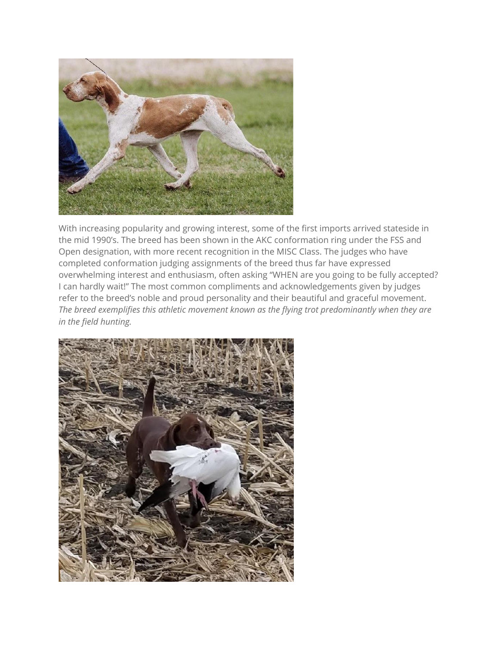

With increasing popularity and growing interest, some of the first imports arrived stateside in the mid 1990's. The breed has been shown in the AKC conformation ring under the FSS and Open designation, with more recent recognition in the MISC Class. The judges who have completed conformation judging assignments of the breed thus far have expressed overwhelming interest and enthusiasm, often asking "WHEN are you going to be fully accepted? I can hardly wait!" The most common compliments and acknowledgements given by judges refer to the breed's noble and proud personality and their beautiful and graceful movement. *The breed exemplifies this athletic movement known as the flying trot predominantly when they are in the field hunting.*

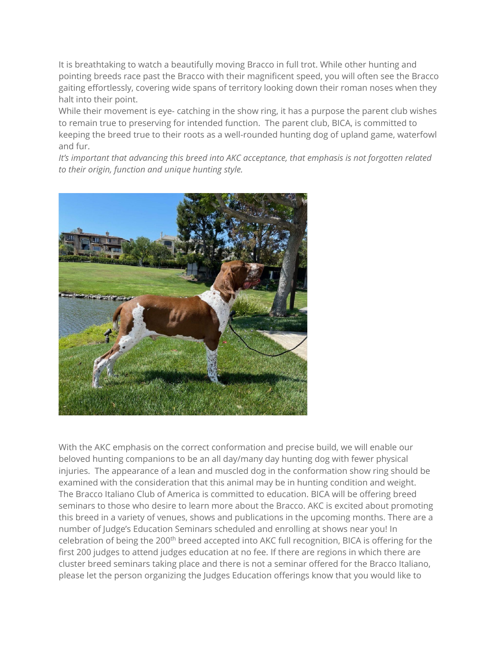It is breathtaking to watch a beautifully moving Bracco in full trot. While other hunting and pointing breeds race past the Bracco with their magnificent speed, you will often see the Bracco gaiting effortlessly, covering wide spans of territory looking down their roman noses when they halt into their point.

While their movement is eye- catching in the show ring, it has a purpose the parent club wishes to remain true to preserving for intended function. The parent club, BICA, is committed to keeping the breed true to their roots as a well-rounded hunting dog of upland game, waterfowl and fur.

*It's important that advancing this breed into AKC acceptance, that emphasis is not forgotten related to their origin, function and unique hunting style.*



With the AKC emphasis on the correct conformation and precise build, we will enable our beloved hunting companions to be an all day/many day hunting dog with fewer physical injuries. The appearance of a lean and muscled dog in the conformation show ring should be examined with the consideration that this animal may be in hunting condition and weight. The Bracco Italiano Club of America is committed to education. BICA will be offering breed seminars to those who desire to learn more about the Bracco. AKC is excited about promoting this breed in a variety of venues, shows and publications in the upcoming months. There are a number of Judge's Education Seminars scheduled and enrolling at shows near you! In celebration of being the 200<sup>th</sup> breed accepted into AKC full recognition, BICA is offering for the first 200 judges to attend judges education at no fee. If there are regions in which there are cluster breed seminars taking place and there is not a seminar offered for the Bracco Italiano, please let the person organizing the Judges Education offerings know that you would like to